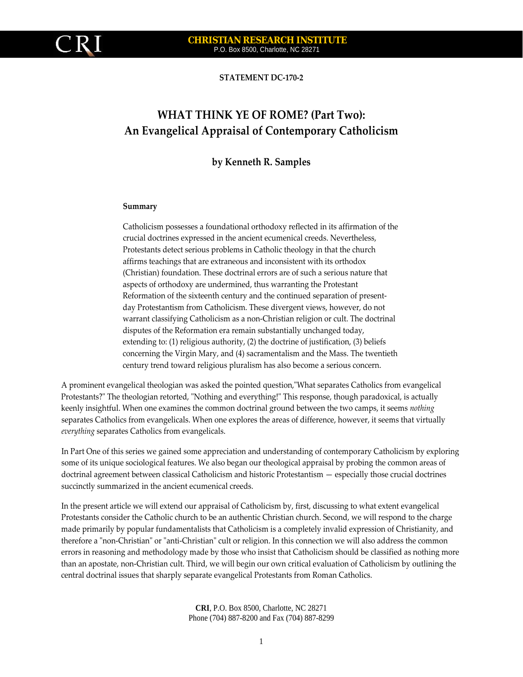

# **CHRISTIAN RESEARCH INSTITUTE**  P.O. Box 8500, Charlotte, NC 28271

**STATEMENT DC‐170‐2**

# **WHAT THINK YE OF ROME? (Part Two): An Evangelical Appraisal of Contemporary Catholicism**

# **by Kenneth R. Samples**

#### **Summary**

Catholicism possesses a foundational orthodoxy reflected in its affirmation of the crucial doctrines expressed in the ancient ecumenical creeds. Nevertheless, Protestants detect serious problems in Catholic theology in that the church affirms teachings that are extraneous and inconsistent with its orthodox (Christian) foundation. These doctrinal errors are of such a serious nature that aspects of orthodoxy are undermined, thus warranting the Protestant Reformation of the sixteenth century and the continued separation of presentday Protestantism from Catholicism. These divergent views, however, do not warrant classifying Catholicism as a non‐Christian religion or cult. The doctrinal disputes of the Reformation era remain substantially unchanged today, extending to: (1) religious authority, (2) the doctrine of justification, (3) beliefs concerning the Virgin Mary, and (4) sacramentalism and the Mass. The twentieth century trend toward religious pluralism has also become a serious concern.

A prominent evangelical theologian was asked the pointed question, "What separates Catholics from evangelical Protestants?" The theologian retorted, "Nothing and everything!" This response, though paradoxical, is actually keenly insightful. When one examines the common doctrinal ground between the two camps, it seems *nothing* separates Catholics from evangelicals. When one explores the areas of difference, however, it seems that virtually *everything* separates Catholics from evangelicals.

In Part One of this series we gained some appreciation and understanding of contemporary Catholicism by exploring some of its unique sociological features. We also began our theological appraisal by probing the common areas of doctrinal agreement between classical Catholicism and historic Protestantism — especially those crucial doctrines succinctly summarized in the ancient ecumenical creeds.

In the present article we will extend our appraisal of Catholicism by, first, discussing to what extent evangelical Protestants consider the Catholic church to be an authentic Christian church. Second, we will respond to the charge made primarily by popular fundamentalists that Catholicism is a completely invalid expression of Christianity, and therefore a "non-Christian" or "anti-Christian" cult or religion. In this connection we will also address the common errors in reasoning and methodology made by those who insist that Catholicism should be classified as nothing more than an apostate, non‐Christian cult. Third, we will begin our own critical evaluation of Catholicism by outlining the central doctrinal issues that sharply separate evangelical Protestants from Roman Catholics.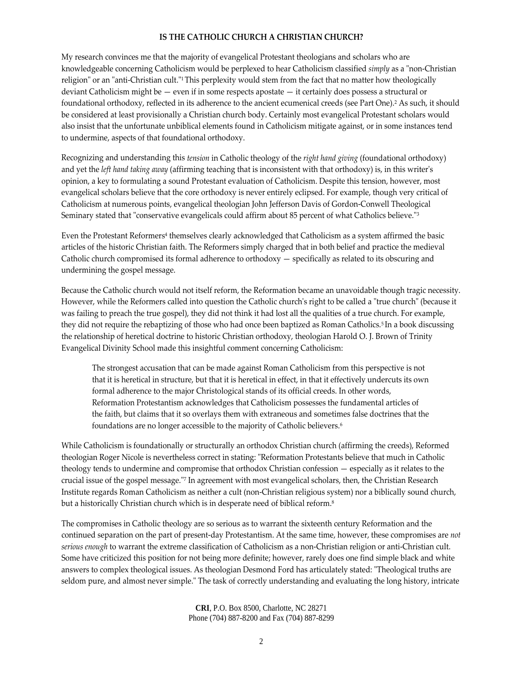# **IS THE CATHOLIC CHURCH A CHRISTIAN CHURCH?**

My research convinces me that the majority of evangelical Protestant theologians and scholars who are knowledgeable concerning Catholicism would be perplexed to hear Catholicism classified *simply* as a "non-Christian religion" or an "anti-Christian cult."<sup>1</sup> This perplexity would stem from the fact that no matter how theologically deviant Catholicism might be — even if in some respects apostate — it certainly does possess a structural or foundational orthodoxy, reflected in its adherence to the ancient ecumenical creeds (see Part One).2 As such, it should be considered at least provisionally a Christian church body. Certainly most evangelical Protestant scholars would also insist that the unfortunate unbiblical elements found in Catholicism mitigate against, or in some instances tend to undermine, aspects of that foundational orthodoxy.

Recognizing and understanding this *tension* in Catholic theology of the *right hand giving* (foundational orthodoxy) and yet the *left hand taking away* (affirming teaching that is inconsistent with that orthodoxy) is, in this writerʹs opinion, a key to formulating a sound Protestant evaluation of Catholicism. Despite this tension, however, most evangelical scholars believe that the core orthodoxy is never entirely eclipsed. For example, though very critical of Catholicism at numerous points, evangelical theologian John Jefferson Davis of Gordon‐Conwell Theological Seminary stated that "conservative evangelicals could affirm about 85 percent of what Catholics believe."3

Even the Protestant Reformers<sup>4</sup> themselves clearly acknowledged that Catholicism as a system affirmed the basic articles of the historic Christian faith. The Reformers simply charged that in both belief and practice the medieval Catholic church compromised its formal adherence to orthodoxy — specifically as related to its obscuring and undermining the gospel message.

Because the Catholic church would not itself reform, the Reformation became an unavoidable though tragic necessity. However, while the Reformers called into question the Catholic church's right to be called a "true church" (because it was failing to preach the true gospel), they did not think it had lost all the qualities of a true church. For example, they did not require the rebaptizing of those who had once been baptized as Roman Catholics.5 In a book discussing the relationship of heretical doctrine to historic Christian orthodoxy, theologian Harold O. J. Brown of Trinity Evangelical Divinity School made this insightful comment concerning Catholicism:

The strongest accusation that can be made against Roman Catholicism from this perspective is not that it is heretical in structure, but that it is heretical in effect, in that it effectively undercuts its own formal adherence to the major Christological stands of its official creeds. In other words, Reformation Protestantism acknowledges that Catholicism possesses the fundamental articles of the faith, but claims that it so overlays them with extraneous and sometimes false doctrines that the foundations are no longer accessible to the majority of Catholic believers.6

While Catholicism is foundationally or structurally an orthodox Christian church (affirming the creeds), Reformed theologian Roger Nicole is nevertheless correct in stating: "Reformation Protestants believe that much in Catholic theology tends to undermine and compromise that orthodox Christian confession — especially as it relates to the crucial issue of the gospel message.<sup>"7</sup> In agreement with most evangelical scholars, then, the Christian Research Institute regards Roman Catholicism as neither a cult (non‐Christian religious system) nor a biblically sound church, but a historically Christian church which is in desperate need of biblical reform.<sup>8</sup>

The compromises in Catholic theology are so serious as to warrant the sixteenth century Reformation and the continued separation on the part of present‐day Protestantism. At the same time, however, these compromises are *not serious enough* to warrant the extreme classification of Catholicism as a non‐Christian religion or anti‐Christian cult. Some have criticized this position for not being more definite; however, rarely does one find simple black and white answers to complex theological issues. As theologian Desmond Ford has articulately stated: "Theological truths are seldom pure, and almost never simple." The task of correctly understanding and evaluating the long history, intricate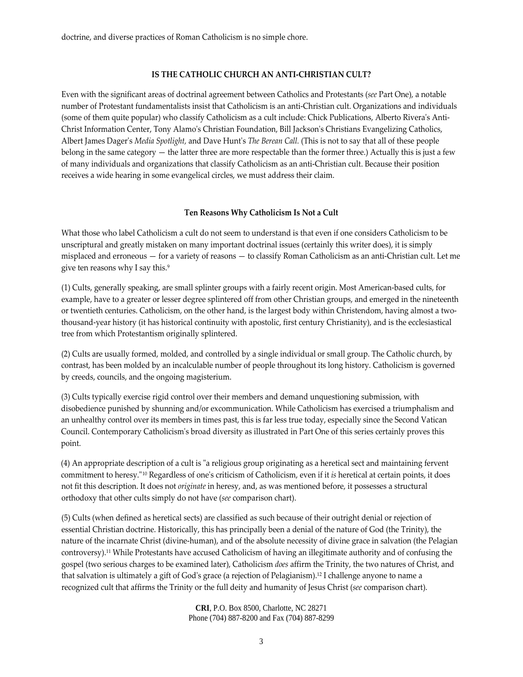doctrine, and diverse practices of Roman Catholicism is no simple chore.

# **IS THE CATHOLIC CHURCH AN ANTI‐CHRISTIAN CULT?**

Even with the significant areas of doctrinal agreement between Catholics and Protestants (*see* Part One), a notable number of Protestant fundamentalists insist that Catholicism is an anti‐Christian cult. Organizations and individuals (some of them quite popular) who classify Catholicism as a cult include: Chick Publications, Alberto Rivera's Anti-Christ Information Center, Tony Alamoʹs Christian Foundation, Bill Jacksonʹs Christians Evangelizing Catholics, Albert James Dagerʹs *Media Spotlight,* and Dave Huntʹs *The Berean Call.* (This is not to say that all of these people belong in the same category — the latter three are more respectable than the former three.) Actually this is just a few of many individuals and organizations that classify Catholicism as an anti‐Christian cult. Because their position receives a wide hearing in some evangelical circles, we must address their claim.

# **Ten Reasons Why Catholicism Is Not a Cult**

What those who label Catholicism a cult do not seem to understand is that even if one considers Catholicism to be unscriptural and greatly mistaken on many important doctrinal issues (certainly this writer does), it is simply misplaced and erroneous — for a variety of reasons — to classify Roman Catholicism as an anti‐Christian cult. Let me give ten reasons why I say this.<sup>9</sup>

(1) Cults, generally speaking, are small splinter groups with a fairly recent origin. Most American‐based cults, for example, have to a greater or lesser degree splintered off from other Christian groups, and emerged in the nineteenth or twentieth centuries. Catholicism, on the other hand, is the largest body within Christendom, having almost a twothousand‐year history (it has historical continuity with apostolic, first century Christianity), and is the ecclesiastical tree from which Protestantism originally splintered.

(2) Cults are usually formed, molded, and controlled by a single individual or small group. The Catholic church, by contrast, has been molded by an incalculable number of people throughout its long history. Catholicism is governed by creeds, councils, and the ongoing magisterium.

(3) Cults typically exercise rigid control over their members and demand unquestioning submission, with disobedience punished by shunning and/or excommunication. While Catholicism has exercised a triumphalism and an unhealthy control over its members in times past, this is far less true today, especially since the Second Vatican Council. Contemporary Catholicismʹs broad diversity as illustrated in Part One of this series certainly proves this point.

(4) An appropriate description of a cult is "a religious group originating as a heretical sect and maintaining fervent commitment to heresy.<sup>"10</sup> Regardless of one's criticism of Catholicism, even if it *is* heretical at certain points, it does not fit this description. It does not *originate* in heresy, and, as was mentioned before, it possesses a structural orthodoxy that other cults simply do not have (*see* comparison chart).

(5) Cults (when defined as heretical sects) are classified as such because of their outright denial or rejection of essential Christian doctrine. Historically, this has principally been a denial of the nature of God (the Trinity), the nature of the incarnate Christ (divine‐human), and of the absolute necessity of divine grace in salvation (the Pelagian controversy).11 While Protestants have accused Catholicism of having an illegitimate authority and of confusing the gospel (two serious charges to be examined later), Catholicism *does* affirm the Trinity, the two natures of Christ, and that salvation is ultimately a gift of Godʹs grace (a rejection of Pelagianism).12 I challenge anyone to name a recognized cult that affirms the Trinity or the full deity and humanity of Jesus Christ (*see* comparison chart).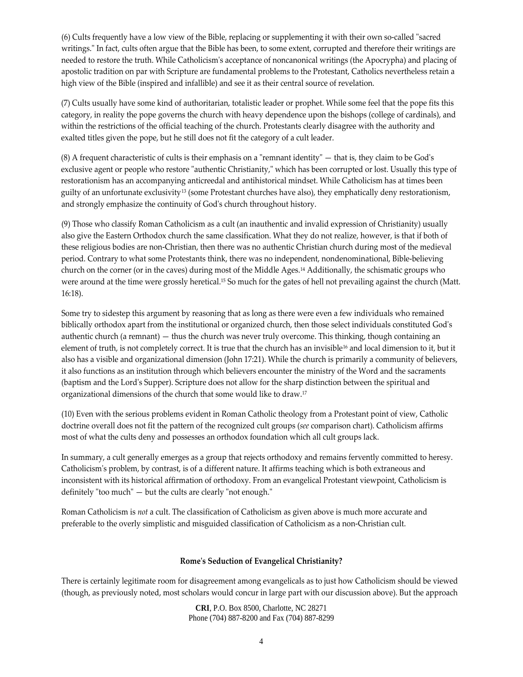(6) Cults frequently have a low view of the Bible, replacing or supplementing it with their own so-called "sacred writings." In fact, cults often argue that the Bible has been, to some extent, corrupted and therefore their writings are needed to restore the truth. While Catholicismʹs acceptance of noncanonical writings (the Apocrypha) and placing of apostolic tradition on par with Scripture are fundamental problems to the Protestant, Catholics nevertheless retain a high view of the Bible (inspired and infallible) and see it as their central source of revelation.

(7) Cults usually have some kind of authoritarian, totalistic leader or prophet. While some feel that the pope fits this category, in reality the pope governs the church with heavy dependence upon the bishops (college of cardinals), and within the restrictions of the official teaching of the church. Protestants clearly disagree with the authority and exalted titles given the pope, but he still does not fit the category of a cult leader.

 $(8)$  A frequent characteristic of cults is their emphasis on a "remnant identity" — that is, they claim to be God's exclusive agent or people who restore "authentic Christianity," which has been corrupted or lost. Usually this type of restorationism has an accompanying anticreedal and antihistorical mindset. While Catholicism has at times been guilty of an unfortunate exclusivity<sup>13</sup> (some Protestant churches have also), they emphatically deny restorationism, and strongly emphasize the continuity of Godʹs church throughout history.

(9) Those who classify Roman Catholicism as a cult (an inauthentic and invalid expression of Christianity) usually also give the Eastern Orthodox church the same classification. What they do not realize, however, is that if both of these religious bodies are non‐Christian, then there was no authentic Christian church during most of the medieval period. Contrary to what some Protestants think, there was no independent, nondenominational, Bible-believing church on the corner (or in the caves) during most of the Middle Ages.14 Additionally, the schismatic groups who were around at the time were grossly heretical.15 So much for the gates of hell not prevailing against the church (Matt. 16:18).

Some try to sidestep this argument by reasoning that as long as there were even a few individuals who remained biblically orthodox apart from the institutional or organized church, then those select individuals constituted Godʹs authentic church (a remnant) — thus the church was never truly overcome. This thinking, though containing an element of truth, is not completely correct. It is true that the church has an invisible16 and local dimension to it, but it also has a visible and organizational dimension (John 17:21). While the church is primarily a community of believers, it also functions as an institution through which believers encounter the ministry of the Word and the sacraments (baptism and the Lordʹs Supper). Scripture does not allow for the sharp distinction between the spiritual and organizational dimensions of the church that some would like to draw.17

(10) Even with the serious problems evident in Roman Catholic theology from a Protestant point of view, Catholic doctrine overall does not fit the pattern of the recognized cult groups (*see* comparison chart). Catholicism affirms most of what the cults deny and possesses an orthodox foundation which all cult groups lack.

In summary, a cult generally emerges as a group that rejects orthodoxy and remains fervently committed to heresy. Catholicismʹs problem, by contrast, is of a different nature. It affirms teaching which is both extraneous and inconsistent with its historical affirmation of orthodoxy. From an evangelical Protestant viewpoint, Catholicism is definitely "too much"  $-$  but the cults are clearly "not enough."

Roman Catholicism is *not* a cult. The classification of Catholicism as given above is much more accurate and preferable to the overly simplistic and misguided classification of Catholicism as a non-Christian cult.

# **Romeʹs Seduction of Evangelical Christianity?**

There is certainly legitimate room for disagreement among evangelicals as to just how Catholicism should be viewed (though, as previously noted, most scholars would concur in large part with our discussion above). But the approach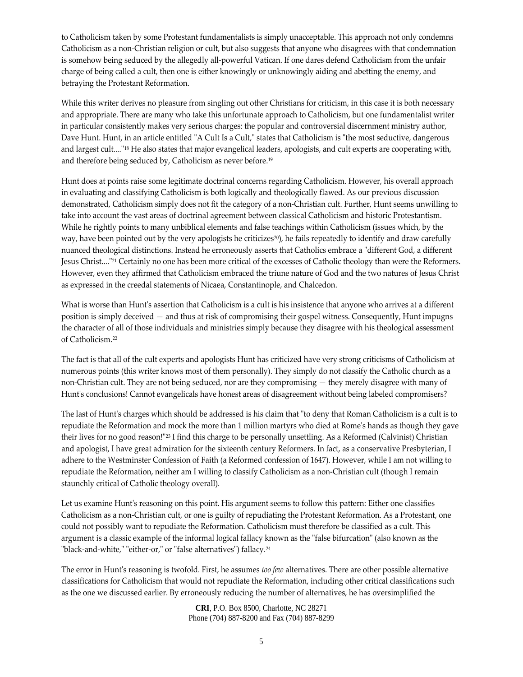to Catholicism taken by some Protestant fundamentalists is simply unacceptable. This approach not only condemns Catholicism as a non‐Christian religion or cult, but also suggests that anyone who disagrees with that condemnation is somehow being seduced by the allegedly all-powerful Vatican. If one dares defend Catholicism from the unfair charge of being called a cult, then one is either knowingly or unknowingly aiding and abetting the enemy, and betraying the Protestant Reformation.

While this writer derives no pleasure from singling out other Christians for criticism, in this case it is both necessary and appropriate. There are many who take this unfortunate approach to Catholicism, but one fundamentalist writer in particular consistently makes very serious charges: the popular and controversial discernment ministry author, Dave Hunt. Hunt, in an article entitled "A Cult Is a Cult," states that Catholicism is "the most seductive, dangerous and largest cult...."<sup>18</sup> He also states that major evangelical leaders, apologists, and cult experts are cooperating with, and therefore being seduced by, Catholicism as never before.19

Hunt does at points raise some legitimate doctrinal concerns regarding Catholicism. However, his overall approach in evaluating and classifying Catholicism is both logically and theologically flawed. As our previous discussion demonstrated, Catholicism simply does not fit the category of a non‐Christian cult. Further, Hunt seems unwilling to take into account the vast areas of doctrinal agreement between classical Catholicism and historic Protestantism. While he rightly points to many unbiblical elements and false teachings within Catholicism (issues which, by the way, have been pointed out by the very apologists he criticizes<sup>20</sup>), he fails repeatedly to identify and draw carefully nuanced theological distinctions. Instead he erroneously asserts that Catholics embrace a "different God, a different Jesus Christ...."<sup>21</sup> Certainly no one has been more critical of the excesses of Catholic theology than were the Reformers. However, even they affirmed that Catholicism embraced the triune nature of God and the two natures of Jesus Christ as expressed in the creedal statements of Nicaea, Constantinople, and Chalcedon.

What is worse than Hunt's assertion that Catholicism is a cult is his insistence that anyone who arrives at a different position is simply deceived — and thus at risk of compromising their gospel witness. Consequently, Hunt impugns the character of all of those individuals and ministries simply because they disagree with his theological assessment of Catholicism.22

The fact is that all of the cult experts and apologists Hunt has criticized have very strong criticisms of Catholicism at numerous points (this writer knows most of them personally). They simply do not classify the Catholic church as a non‐Christian cult. They are not being seduced, nor are they compromising — they merely disagree with many of Hunt's conclusions! Cannot evangelicals have honest areas of disagreement without being labeled compromisers?

The last of Hunt's charges which should be addressed is his claim that "to deny that Roman Catholicism is a cult is to repudiate the Reformation and mock the more than 1 million martyrs who died at Romeʹs hands as though they gave their lives for no good reason!"<sup>23</sup> I find this charge to be personally unsettling. As a Reformed (Calvinist) Christian and apologist, I have great admiration for the sixteenth century Reformers. In fact, as a conservative Presbyterian, I adhere to the Westminster Confession of Faith (a Reformed confession of 1647). However, while I am not willing to repudiate the Reformation, neither am I willing to classify Catholicism as a non‐Christian cult (though I remain staunchly critical of Catholic theology overall).

Let us examine Hunt's reasoning on this point. His argument seems to follow this pattern: Either one classifies Catholicism as a non‐Christian cult, or one is guilty of repudiating the Protestant Reformation. As a Protestant, one could not possibly want to repudiate the Reformation. Catholicism must therefore be classified as a cult. This argument is a classic example of the informal logical fallacy known as the "false bifurcation" (also known as the "black-and-white," "either-or," or "false alternatives") fallacy.<sup>24</sup>

The error in Hunt's reasoning is twofold. First, he assumes *too few* alternatives. There are other possible alternative classifications for Catholicism that would not repudiate the Reformation, including other critical classifications such as the one we discussed earlier. By erroneously reducing the number of alternatives, he has oversimplified the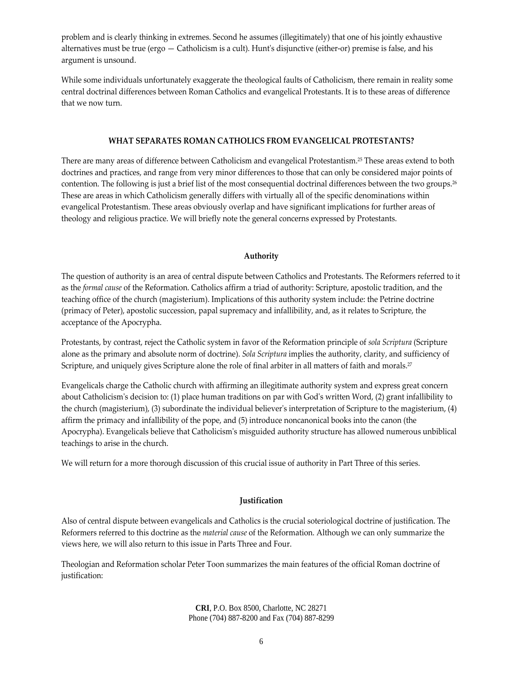problem and is clearly thinking in extremes. Second he assumes (illegitimately) that one of his jointly exhaustive alternatives must be true (ergo — Catholicism is a cult). Hunt's disjunctive (either-or) premise is false, and his argument is unsound.

While some individuals unfortunately exaggerate the theological faults of Catholicism, there remain in reality some central doctrinal differences between Roman Catholics and evangelical Protestants. It is to these areas of difference that we now turn.

## **WHAT SEPARATES ROMAN CATHOLICS FROM EVANGELICAL PROTESTANTS?**

There are many areas of difference between Catholicism and evangelical Protestantism.25 These areas extend to both doctrines and practices, and range from very minor differences to those that can only be considered major points of contention. The following is just a brief list of the most consequential doctrinal differences between the two groups.26 These are areas in which Catholicism generally differs with virtually all of the specific denominations within evangelical Protestantism. These areas obviously overlap and have significant implications for further areas of theology and religious practice. We will briefly note the general concerns expressed by Protestants.

#### **Authority**

The question of authority is an area of central dispute between Catholics and Protestants. The Reformers referred to it as the *formal cause* of the Reformation. Catholics affirm a triad of authority: Scripture, apostolic tradition, and the teaching office of the church (magisterium). Implications of this authority system include: the Petrine doctrine (primacy of Peter), apostolic succession, papal supremacy and infallibility, and, as it relates to Scripture, the acceptance of the Apocrypha.

Protestants, by contrast, reject the Catholic system in favor of the Reformation principle of *sola Scriptura* (Scripture alone as the primary and absolute norm of doctrine). *Sola Scriptura* implies the authority, clarity, and sufficiency of Scripture, and uniquely gives Scripture alone the role of final arbiter in all matters of faith and morals.<sup>27</sup>

Evangelicals charge the Catholic church with affirming an illegitimate authority system and express great concern about Catholicism's decision to: (1) place human traditions on par with God's written Word, (2) grant infallibility to the church (magisterium), (3) subordinate the individual believerʹs interpretation of Scripture to the magisterium, (4) affirm the primacy and infallibility of the pope, and (5) introduce noncanonical books into the canon (the Apocrypha). Evangelicals believe that Catholicismʹs misguided authority structure has allowed numerous unbiblical teachings to arise in the church.

We will return for a more thorough discussion of this crucial issue of authority in Part Three of this series.

# **Justification**

Also of central dispute between evangelicals and Catholics is the crucial soteriological doctrine of justification. The Reformers referred to this doctrine as the *material cause* of the Reformation. Although we can only summarize the views here, we will also return to this issue in Parts Three and Four.

Theologian and Reformation scholar Peter Toon summarizes the main features of the official Roman doctrine of justification: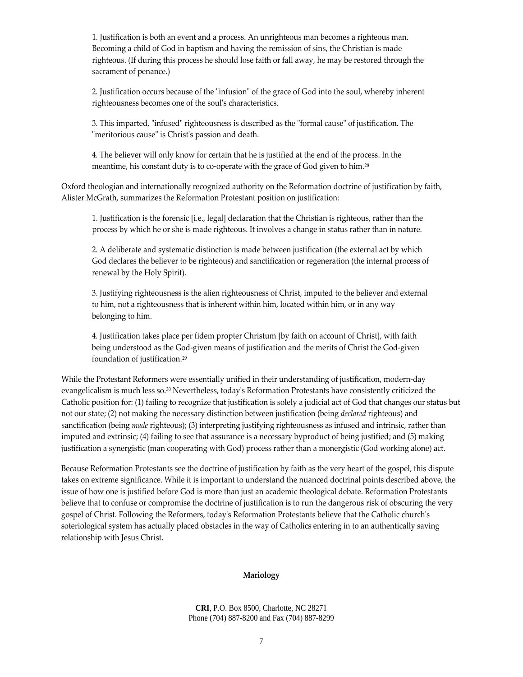1. Justification is both an event and a process. An unrighteous man becomes a righteous man. Becoming a child of God in baptism and having the remission of sins, the Christian is made righteous. (If during this process he should lose faith or fall away, he may be restored through the sacrament of penance.)

2. Justification occurs because of the "infusion" of the grace of God into the soul, whereby inherent righteousness becomes one of the soulʹs characteristics.

3. This imparted, "infused" righteousness is described as the "formal cause" of justification. The "meritorious cause" is Christ's passion and death.

4. The believer will only know for certain that he is justified at the end of the process. In the meantime, his constant duty is to co-operate with the grace of God given to him.<sup>28</sup>

Oxford theologian and internationally recognized authority on the Reformation doctrine of justification by faith, Alister McGrath, summarizes the Reformation Protestant position on justification:

1. Justification is the forensic [i.e., legal] declaration that the Christian is righteous, rather than the process by which he or she is made righteous. It involves a change in status rather than in nature.

2. A deliberate and systematic distinction is made between justification (the external act by which God declares the believer to be righteous) and sanctification or regeneration (the internal process of renewal by the Holy Spirit).

3. Justifying righteousness is the alien righteousness of Christ, imputed to the believer and external to him, not a righteousness that is inherent within him, located within him, or in any way belonging to him.

4. Justification takes place per fidem propter Christum [by faith on account of Christ], with faith being understood as the God‐given means of justification and the merits of Christ the God‐given foundation of justification.29

While the Protestant Reformers were essentially unified in their understanding of justification, modern‐day evangelicalism is much less so.<sup>30</sup> Nevertheless, today's Reformation Protestants have consistently criticized the Catholic position for: (1) failing to recognize that justification is solely a judicial act of God that changes our status but not our state; (2) not making the necessary distinction between justification (being *declared* righteous) and sanctification (being *made* righteous); (3) interpreting justifying righteousness as infused and intrinsic, rather than imputed and extrinsic; (4) failing to see that assurance is a necessary byproduct of being justified; and (5) making justification a synergistic (man cooperating with God) process rather than a monergistic (God working alone) act.

Because Reformation Protestants see the doctrine of justification by faith as the very heart of the gospel, this dispute takes on extreme significance. While it is important to understand the nuanced doctrinal points described above, the issue of how one is justified before God is more than just an academic theological debate. Reformation Protestants believe that to confuse or compromise the doctrine of justification is to run the dangerous risk of obscuring the very gospel of Christ. Following the Reformers, todayʹs Reformation Protestants believe that the Catholic churchʹs soteriological system has actually placed obstacles in the way of Catholics entering in to an authentically saving relationship with Jesus Christ.

#### **Mariology**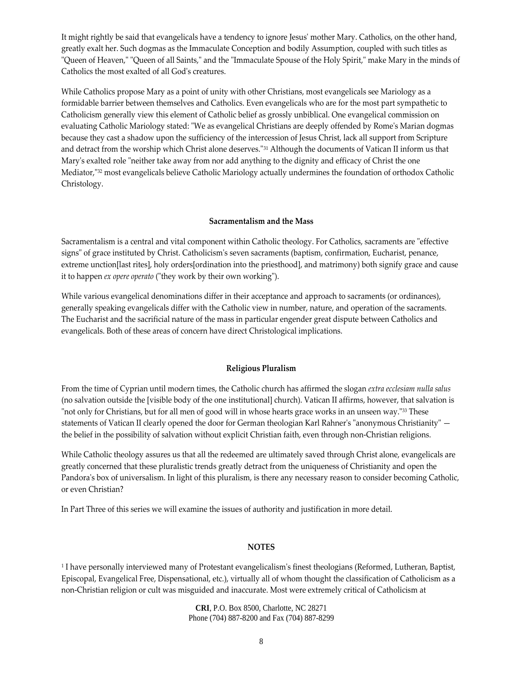It might rightly be said that evangelicals have a tendency to ignore Jesusʹ mother Mary. Catholics, on the other hand, greatly exalt her. Such dogmas as the Immaculate Conception and bodily Assumption, coupled with such titles as "Queen of Heaven," "Queen of all Saints," and the "Immaculate Spouse of the Holy Spirit," make Mary in the minds of Catholics the most exalted of all Godʹs creatures.

While Catholics propose Mary as a point of unity with other Christians, most evangelicals see Mariology as a formidable barrier between themselves and Catholics. Even evangelicals who are for the most part sympathetic to Catholicism generally view this element of Catholic belief as grossly unbiblical. One evangelical commission on evaluating Catholic Mariology stated: "We as evangelical Christians are deeply offended by Rome's Marian dogmas because they cast a shadow upon the sufficiency of the intercession of Jesus Christ, lack all support from Scripture and detract from the worship which Christ alone deserves.<sup>"31</sup> Although the documents of Vatican II inform us that Mary's exalted role "neither take away from nor add anything to the dignity and efficacy of Christ the one Mediator, "32 most evangelicals believe Catholic Mariology actually undermines the foundation of orthodox Catholic Christology.

## **Sacramentalism and the Mass**

Sacramentalism is a central and vital component within Catholic theology. For Catholics, sacraments are "effective signs" of grace instituted by Christ. Catholicism's seven sacraments (baptism, confirmation, Eucharist, penance, extreme unction[last rites], holy orders[ordination into the priesthood], and matrimony) both signify grace and cause it to happen *ex opere operato* ("they work by their own working").

While various evangelical denominations differ in their acceptance and approach to sacraments (or ordinances), generally speaking evangelicals differ with the Catholic view in number, nature, and operation of the sacraments. The Eucharist and the sacrificial nature of the mass in particular engender great dispute between Catholics and evangelicals. Both of these areas of concern have direct Christological implications.

#### **Religious Pluralism**

From the time of Cyprian until modern times, the Catholic church has affirmed the slogan *extra ecclesiam nulla salus* (no salvation outside the [visible body of the one institutional] church). Vatican II affirms, however, that salvation is "not only for Christians, but for all men of good will in whose hearts grace works in an unseen way."<sup>33</sup> These statements of Vatican II clearly opened the door for German theologian Karl Rahner's "anonymous Christianity" the belief in the possibility of salvation without explicit Christian faith, even through non‐Christian religions.

While Catholic theology assures us that all the redeemed are ultimately saved through Christ alone, evangelicals are greatly concerned that these pluralistic trends greatly detract from the uniqueness of Christianity and open the Pandora's box of universalism. In light of this pluralism, is there any necessary reason to consider becoming Catholic, or even Christian?

In Part Three of this series we will examine the issues of authority and justification in more detail.

#### **NOTES**

<sup>1</sup> I have personally interviewed many of Protestant evangelicalism's finest theologians (Reformed, Lutheran, Baptist, Episcopal, Evangelical Free, Dispensational, etc.), virtually all of whom thought the classification of Catholicism as a non‐Christian religion or cult was misguided and inaccurate. Most were extremely critical of Catholicism at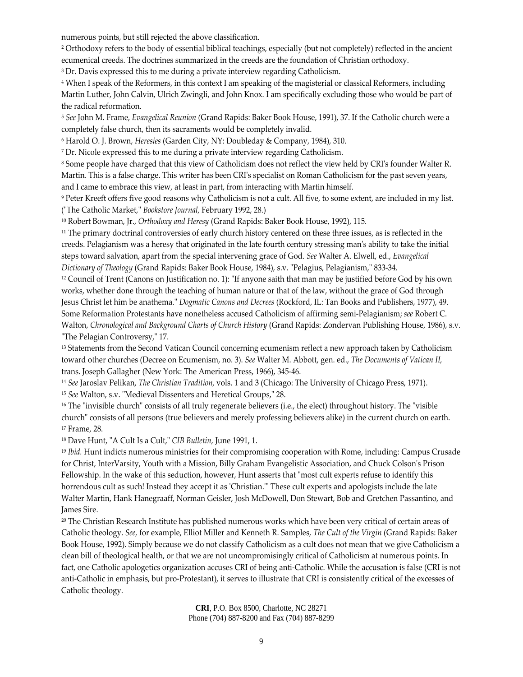numerous points, but still rejected the above classification.

<sup>2</sup> Orthodoxy refers to the body of essential biblical teachings, especially (but not completely) reflected in the ancient ecumenical creeds. The doctrines summarized in the creeds are the foundation of Christian orthodoxy.

<sup>3</sup> Dr. Davis expressed this to me during a private interview regarding Catholicism.

<sup>4</sup> When I speak of the Reformers, in this context I am speaking of the magisterial or classical Reformers, including Martin Luther, John Calvin, Ulrich Zwingli, and John Knox. I am specifically excluding those who would be part of the radical reformation.

<sup>5</sup> *See* John M. Frame, *Evangelical Reunion* (Grand Rapids: Baker Book House, 1991), 37. If the Catholic church were a completely false church, then its sacraments would be completely invalid.

<sup>6</sup> Harold O. J. Brown, *Heresies* (Garden City, NY: Doubleday & Company, 1984), 310.

<sup>7</sup> Dr. Nicole expressed this to me during a private interview regarding Catholicism.

<sup>8</sup> Some people have charged that this view of Catholicism does not reflect the view held by CRIʹs founder Walter R. Martin. This is a false charge. This writer has been CRIʹs specialist on Roman Catholicism for the past seven years, and I came to embrace this view, at least in part, from interacting with Martin himself.

<sup>9</sup> Peter Kreeft offers five good reasons why Catholicism is not a cult. All five, to some extent, are included in my list. (ʺThe Catholic Market,ʺ *Bookstore Journal,* February 1992, 28.)

<sup>10</sup> Robert Bowman, Jr., *Orthodoxy and Heresy* (Grand Rapids: Baker Book House, 1992), 115.

<sup>11</sup> The primary doctrinal controversies of early church history centered on these three issues, as is reflected in the creeds. Pelagianism was a heresy that originated in the late fourth century stressing manʹs ability to take the initial steps toward salvation, apart from the special intervening grace of God. *See* Walter A. Elwell, ed., *Evangelical Dictionary of Theology* (Grand Rapids: Baker Book House, 1984), s.v. ʺPelagius, Pelagianism,ʺ 833‐34.

<sup>12</sup> Council of Trent (Canons on Justification no. 1): "If anyone saith that man may be justified before God by his own works, whether done through the teaching of human nature or that of the law, without the grace of God through Jesus Christ let him be anathema.ʺ *Dogmatic Canons and Decrees* (Rockford, IL: Tan Books and Publishers, 1977), 49. Some Reformation Protestants have nonetheless accused Catholicism of affirming semi‐Pelagianism; *see* Robert C. Walton, *Chronological and Background Charts of Church History* (Grand Rapids: Zondervan Publishing House, 1986), s.v. "The Pelagian Controversy," 17.

<sup>13</sup> Statements from the Second Vatican Council concerning ecumenism reflect a new approach taken by Catholicism toward other churches (Decree on Ecumenism, no. 3). *See* Walter M. Abbott, gen. ed., *The Documents of Vatican II,* trans. Joseph Gallagher (New York: The American Press, 1966), 345‐46.

<sup>14</sup> *See* Jaroslav Pelikan, *The Christian Tradition,* vols. 1 and 3 (Chicago: The University of Chicago Press, 1971). <sup>15</sup> See Walton, s.v. "Medieval Dissenters and Heretical Groups," 28.

 $16$  The "invisible church" consists of all truly regenerate believers (i.e., the elect) throughout history. The "visible church" consists of all persons (true believers and merely professing believers alike) in the current church on earth. <sup>17</sup> Frame, 28.

<sup>18</sup> Dave Hunt, "A Cult Is a Cult," CIB Bulletin, June 1991, 1.

<sup>19</sup> *Ibid.* Hunt indicts numerous ministries for their compromising cooperation with Rome, including: Campus Crusade for Christ, InterVarsity, Youth with a Mission, Billy Graham Evangelistic Association, and Chuck Colsonʹs Prison Fellowship. In the wake of this seduction, however, Hunt asserts that "most cult experts refuse to identify this horrendous cult as such! Instead they accept it as 'Christian." These cult experts and apologists include the late Walter Martin, Hank Hanegraaff, Norman Geisler, Josh McDowell, Don Stewart, Bob and Gretchen Passantino, and James Sire.

<sup>20</sup> The Christian Research Institute has published numerous works which have been very critical of certain areas of Catholic theology. *See,* for example, Elliot Miller and Kenneth R. Samples, *The Cult of the Virgin* (Grand Rapids: Baker Book House, 1992). Simply because we do not classify Catholicism as a cult does not mean that we give Catholicism a clean bill of theological health, or that we are not uncompromisingly critical of Catholicism at numerous points. In fact, one Catholic apologetics organization accuses CRI of being anti-Catholic. While the accusation is false (CRI is not anti‐Catholic in emphasis, but pro‐Protestant), it serves to illustrate that CRI is consistently critical of the excesses of Catholic theology.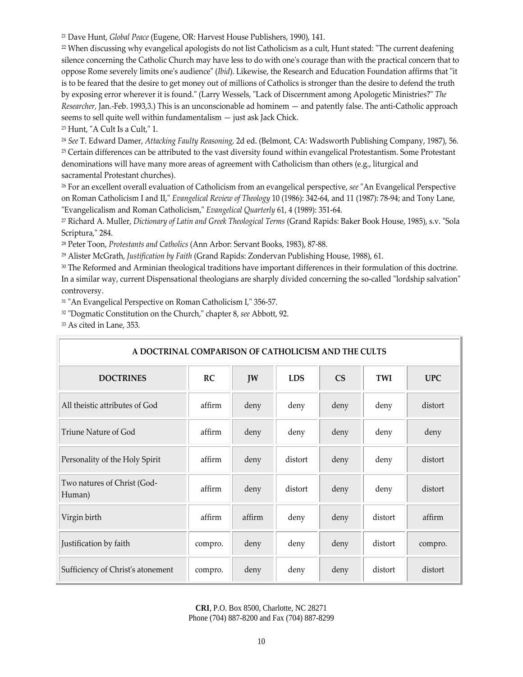<sup>21</sup> Dave Hunt, *Global Peace* (Eugene, OR: Harvest House Publishers, 1990), 141.

 $22$  When discussing why evangelical apologists do not list Catholicism as a cult, Hunt stated: "The current deafening silence concerning the Catholic Church may have less to do with one's courage than with the practical concern that to oppose Rome severely limits one's audience" (*Ibid*). Likewise, the Research and Education Foundation affirms that "it is to be feared that the desire to get money out of millions of Catholics is stronger than the desire to defend the truth by exposing error wherever it is found.<sup>™</sup> (Larry Wessels, "Lack of Discernment among Apologetic Ministries?" The *Researcher,* Jan.‐Feb. 1993,3.) This is an unconscionable ad hominem — and patently false. The anti‐Catholic approach seems to sell quite well within fundamentalism — just ask Jack Chick.

 $23$  Hunt, "A Cult Is a Cult," 1.

<sup>24</sup> *See* T. Edward Damer, *Attacking Faulty Reasoning,* 2d ed. (Belmont, CA: Wadsworth Publishing Company, 1987), 56. <sup>25</sup> Certain differences can be attributed to the vast diversity found within evangelical Protestantism. Some Protestant denominations will have many more areas of agreement with Catholicism than others (e.g., liturgical and sacramental Protestant churches).

<sup>26</sup> For an excellent overall evaluation of Catholicism from an evangelical perspective, *see* "An Evangelical Perspective on Roman Catholicism I and II," *Evangelical Review of Theology* 10 (1986): 342-64, and 11 (1987): 78-94; and Tony Lane, ʺEvangelicalism and Roman Catholicism,ʺ *Evangelical Quarterly* 61, 4 (1989): 351‐64.

<sup>27</sup> Richard A. Muller, *Dictionary of Latin and Greek Theological Terms* (Grand Rapids: Baker Book House, 1985), s.v. ʺSola Scriptura," 284.

<sup>28</sup> Peter Toon, *Protestants and Catholics* (Ann Arbor: Servant Books, 1983), 87‐88.

<sup>29</sup> Alister McGrath, *Justification by Faith* (Grand Rapids: Zondervan Publishing House, 1988), 61.

<sup>30</sup> The Reformed and Arminian theological traditions have important differences in their formulation of this doctrine. In a similar way, current Dispensational theologians are sharply divided concerning the so-called "lordship salvation" controversy.

31 "An Evangelical Perspective on Roman Catholicism I," 356-57.

<sup>32</sup> "Dogmatic Constitution on the Church," chapter 8, see Abbott, 92.

<sup>33</sup> As cited in Lane, 353.

| A DOCTRINAL COMPARISON OF CATHOLICISM AND THE CULTS |         |        |            |      |            |            |
|-----------------------------------------------------|---------|--------|------------|------|------------|------------|
| <b>DOCTRINES</b>                                    | RC      | JW     | <b>LDS</b> | CS   | <b>TWI</b> | <b>UPC</b> |
| All theistic attributes of God                      | affirm  | deny   | deny       | deny | deny       | distort    |
| Triune Nature of God                                | affirm  | deny   | deny       | deny | deny       | deny       |
| Personality of the Holy Spirit                      | affirm  | deny   | distort    | deny | deny       | distort    |
| Two natures of Christ (God-<br>Human)               | affirm  | deny   | distort    | deny | deny       | distort    |
| Virgin birth                                        | affirm  | affirm | deny       | deny | distort    | affirm     |
| Justification by faith                              | compro. | deny   | deny       | deny | distort    | compro.    |
| Sufficiency of Christ's atonement                   | compro. | deny   | deny       | deny | distort    | distort    |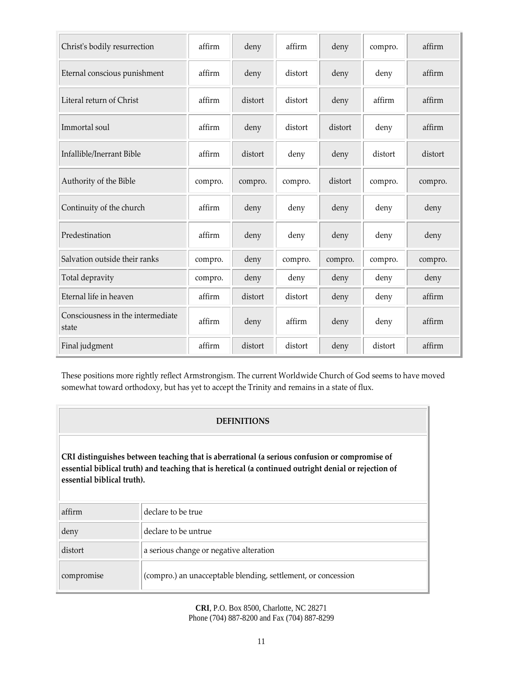| Christ's bodily resurrection               | affirm  | deny    | affirm  | deny    | compro. | affirm  |
|--------------------------------------------|---------|---------|---------|---------|---------|---------|
| Eternal conscious punishment               | affirm  | deny    | distort | deny    | deny    | affirm  |
| Literal return of Christ                   | affirm  | distort | distort | deny    | affirm  | affirm  |
| Immortal soul                              | affirm  | deny    | distort | distort | deny    | affirm  |
| Infallible/Inerrant Bible                  | affirm  | distort | deny    | deny    | distort | distort |
| Authority of the Bible                     | compro. | compro. | compro. | distort | compro. | compro. |
| Continuity of the church                   | affirm  | deny    | deny    | deny    | deny    | deny    |
| Predestination                             | affirm  | deny    | deny    | deny    | deny    | deny    |
| Salvation outside their ranks              | compro. | deny    | compro. | compro. | compro. | compro. |
| Total depravity                            | compro. | deny    | deny    | deny    | deny    | deny    |
| Eternal life in heaven                     | affirm  | distort | distort | deny    | deny    | affirm  |
| Consciousness in the intermediate<br>state | affirm  | deny    | affirm  | deny    | deny    | affirm  |
| Final judgment                             | affirm  | distort | distort | deny    | distort | affirm  |

These positions more rightly reflect Armstrongism. The current Worldwide Church of God seems to have moved somewhat toward orthodoxy, but has yet to accept the Trinity and remains in a state of flux.

# **DEFINITIONS**

**CRI distinguishes between teaching that is aberrational (a serious confusion or compromise of essential biblical truth) and teaching that is heretical (a continued outright denial or rejection of essential biblical truth).** 

| affirm     | declare to be true                                            |
|------------|---------------------------------------------------------------|
| deny       | declare to be untrue.                                         |
| distort    | a serious change or negative alteration                       |
| compromise | (compro.) an unacceptable blending, settlement, or concession |